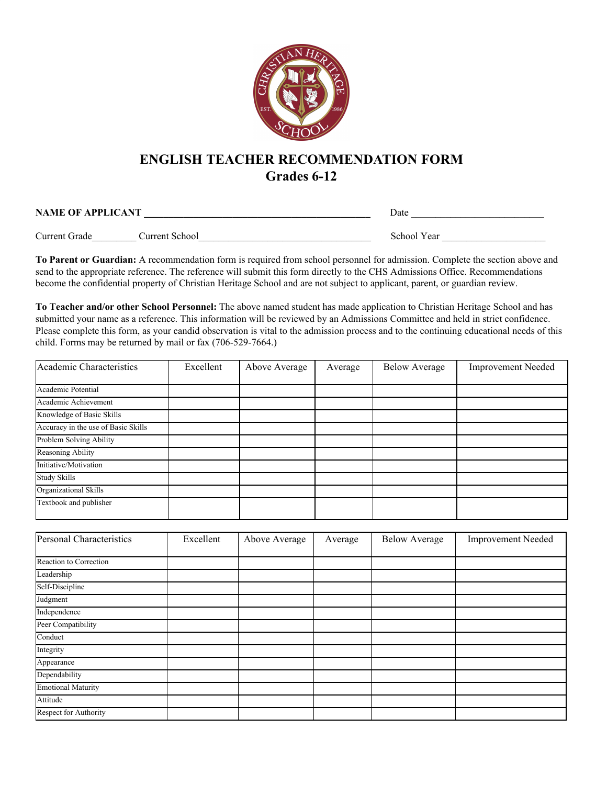

## **ENGLISH TEACHER RECOMMENDATION FORM Grades 6-12**

| <b>NAME OF APPLICANT</b> |                | Date        |  |
|--------------------------|----------------|-------------|--|
| Current Grade            | Current School | School Year |  |
|                          |                |             |  |

**To Parent or Guardian:** A recommendation form is required from school personnel for admission. Complete the section above and send to the appropriate reference. The reference will submit this form directly to the CHS Admissions Office. Recommendations become the confidential property of Christian Heritage School and are not subject to applicant, parent, or guardian review.

**To Teacher and/or other School Personnel:** The above named student has made application to Christian Heritage School and has submitted your name as a reference. This information will be reviewed by an Admissions Committee and held in strict confidence. Please complete this form, as your candid observation is vital to the admission process and to the continuing educational needs of this child. Forms may be returned by mail or fax (706-529-7664.)

| Academic Characteristics            | Excellent | Above Average | Average | <b>Below Average</b> | <b>Improvement Needed</b> |
|-------------------------------------|-----------|---------------|---------|----------------------|---------------------------|
|                                     |           |               |         |                      |                           |
| Academic Potential                  |           |               |         |                      |                           |
| Academic Achievement                |           |               |         |                      |                           |
| Knowledge of Basic Skills           |           |               |         |                      |                           |
| Accuracy in the use of Basic Skills |           |               |         |                      |                           |
| Problem Solving Ability             |           |               |         |                      |                           |
| Reasoning Ability                   |           |               |         |                      |                           |
| Initiative/Motivation               |           |               |         |                      |                           |
| <b>Study Skills</b>                 |           |               |         |                      |                           |
| Organizational Skills               |           |               |         |                      |                           |
| Textbook and publisher              |           |               |         |                      |                           |

| Personal Characteristics  | Excellent | Above Average | Average | <b>Below Average</b> | <b>Improvement Needed</b> |
|---------------------------|-----------|---------------|---------|----------------------|---------------------------|
|                           |           |               |         |                      |                           |
| Reaction to Correction    |           |               |         |                      |                           |
| Leadership                |           |               |         |                      |                           |
| Self-Discipline           |           |               |         |                      |                           |
| Judgment                  |           |               |         |                      |                           |
| Independence              |           |               |         |                      |                           |
| Peer Compatibility        |           |               |         |                      |                           |
| Conduct                   |           |               |         |                      |                           |
| Integrity                 |           |               |         |                      |                           |
| Appearance                |           |               |         |                      |                           |
| Dependability             |           |               |         |                      |                           |
| <b>Emotional Maturity</b> |           |               |         |                      |                           |
| Attitude                  |           |               |         |                      |                           |
| Respect for Authority     |           |               |         |                      |                           |